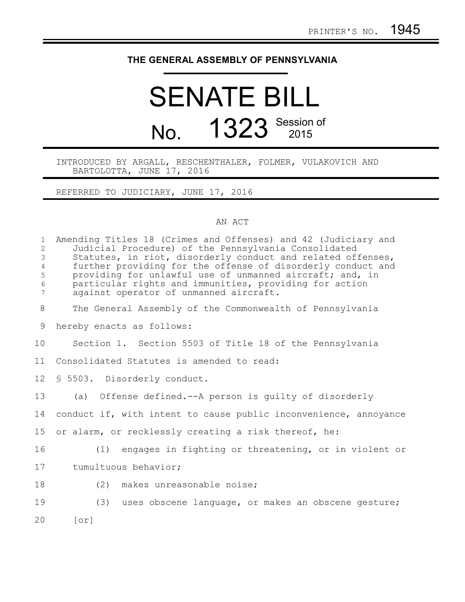## **THE GENERAL ASSEMBLY OF PENNSYLVANIA**

## SENATE BILL No. 1323 Session of

## INTRODUCED BY ARGALL, RESCHENTHALER, FOLMER, VULAKOVICH AND BARTOLOTTA, JUNE 17, 2016

REFERRED TO JUDICIARY, JUNE 17, 2016

## AN ACT

| $\mathbf{1}$<br>$\overline{c}$<br>$\mathsf 3$<br>$\overline{4}$<br>5<br>$\sqrt{6}$<br>$\overline{7}$ | Amending Titles 18 (Crimes and Offenses) and 42 (Judiciary and<br>Judicial Procedure) of the Pennsylvania Consolidated<br>Statutes, in riot, disorderly conduct and related offenses,<br>further providing for the offense of disorderly conduct and<br>providing for unlawful use of unmanned aircraft; and, in<br>particular rights and immunities, providing for action<br>against operator of unmanned aircraft. |
|------------------------------------------------------------------------------------------------------|----------------------------------------------------------------------------------------------------------------------------------------------------------------------------------------------------------------------------------------------------------------------------------------------------------------------------------------------------------------------------------------------------------------------|
| 8                                                                                                    | The General Assembly of the Commonwealth of Pennsylvania                                                                                                                                                                                                                                                                                                                                                             |
| 9                                                                                                    | hereby enacts as follows:                                                                                                                                                                                                                                                                                                                                                                                            |
| 10                                                                                                   | Section 1. Section 5503 of Title 18 of the Pennsylvania                                                                                                                                                                                                                                                                                                                                                              |
| 11                                                                                                   | Consolidated Statutes is amended to read:                                                                                                                                                                                                                                                                                                                                                                            |
| 12                                                                                                   | \$ 5503. Disorderly conduct.                                                                                                                                                                                                                                                                                                                                                                                         |
| 13                                                                                                   | (a) Offense defined.--A person is quilty of disorderly                                                                                                                                                                                                                                                                                                                                                               |
| 14                                                                                                   | conduct if, with intent to cause public inconvenience, annoyance                                                                                                                                                                                                                                                                                                                                                     |
| 15                                                                                                   | or alarm, or recklessly creating a risk thereof, he:                                                                                                                                                                                                                                                                                                                                                                 |
| 16                                                                                                   | (1) engages in fighting or threatening, or in violent or                                                                                                                                                                                                                                                                                                                                                             |
| 17                                                                                                   | tumultuous behavior;                                                                                                                                                                                                                                                                                                                                                                                                 |
| 18                                                                                                   | (2)<br>makes unreasonable noise;                                                                                                                                                                                                                                                                                                                                                                                     |
| 19                                                                                                   | (3) uses obscene language, or makes an obscene gesture;                                                                                                                                                                                                                                                                                                                                                              |
| 20                                                                                                   | $\lceil$ or $\rceil$                                                                                                                                                                                                                                                                                                                                                                                                 |
|                                                                                                      |                                                                                                                                                                                                                                                                                                                                                                                                                      |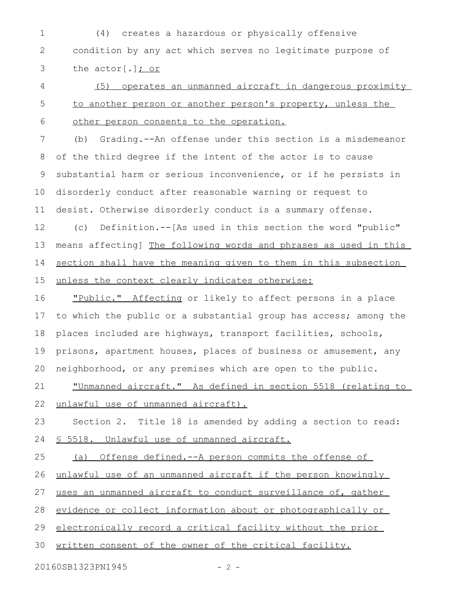(4) creates a hazardous or physically offensive condition by any act which serves no legitimate purpose of the actor[.]; or 1 2 3

(5) operates an unmanned aircraft in dangerous proximity to another person or another person's property, unless the other person consents to the operation. 4 5 6

(b) Grading.--An offense under this section is a misdemeanor of the third degree if the intent of the actor is to cause substantial harm or serious inconvenience, or if he persists in disorderly conduct after reasonable warning or request to desist. Otherwise disorderly conduct is a summary offense. 7 8 9 10 11

(c) Definition.--[As used in this section the word "public" means affecting] The following words and phrases as used in this section shall have the meaning given to them in this subsection unless the context clearly indicates otherwise: 12 13 14 15

"Public." Affecting or likely to affect persons in a place to which the public or a substantial group has access; among the places included are highways, transport facilities, schools, prisons, apartment houses, places of business or amusement, any neighborhood, or any premises which are open to the public. 16 17 18 19 20

"Unmanned aircraft." As defined in section 5518 (relating to unlawful use of unmanned aircraft). 21 22

Section 2. Title 18 is amended by adding a section to read: § 5518. Unlawful use of unmanned aircraft. 23 24

(a) Offense defined.--A person commits the offense of unlawful use of an unmanned aircraft if the person knowingly uses an unmanned aircraft to conduct surveillance of, gather evidence or collect information about or photographically or electronically record a critical facility without the prior written consent of the owner of the critical facility. 25 26 27 28 29 30

20160SB1323PN1945 - 2 -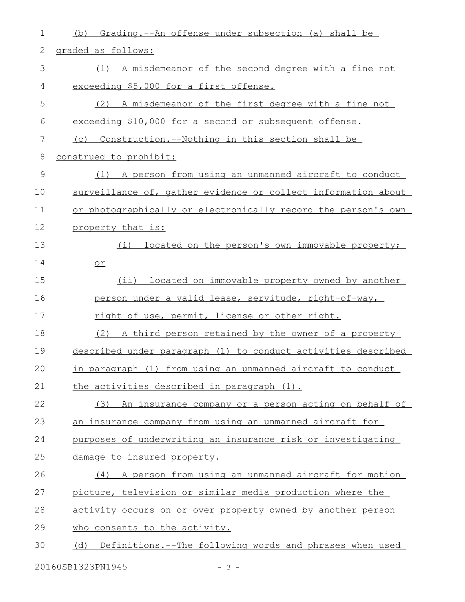| 1             | Grading.--An offense under subsection (a) shall be<br>(b)      |
|---------------|----------------------------------------------------------------|
| 2             | graded as follows:                                             |
| 3             | A misdemeanor of the second degree with a fine not<br>(1)      |
| 4             | exceeding \$5,000 for a first offense.                         |
| 5             | A misdemeanor of the first degree with a fine not<br>(2)       |
| 6             | exceeding \$10,000 for a second or subsequent offense.         |
| 7             | (c) Construction.--Nothing in this section shall be            |
| 8             | construed to prohibit:                                         |
| $\mathcal{G}$ | (1) A person from using an unmanned aircraft to conduct        |
| 10            | surveillance of, gather evidence or collect information about  |
| 11            | or photographically or electronically record the person's own  |
| 12            | property that is:                                              |
| 13            | located on the person's own immovable property;<br>(i)         |
| 14            | $or$                                                           |
| 15            | (ii) located on immovable property owned by another            |
| 16            | person under a valid lease, servitude, right-of-way,           |
| 17            | right of use, permit, license or other right.                  |
| 18            | (2) A third person retained by the owner of a property         |
| 19            | described under paragraph (1) to conduct activities described  |
| 20            | in paragraph (1) from using an unmanned aircraft to conduct    |
| 21            | the activities described in paragraph (1).                     |
| 22            | (3) An insurance company or a person acting on behalf of       |
| 23            | an insurance company from using an unmanned aircraft for       |
| 24            | purposes of underwriting an insurance risk or investigating    |
| 25            | damage to insured property.                                    |
| 26            | (4) A person from using an unmanned aircraft for motion        |
| 27            | picture, television or similar media production where the      |
| 28            | activity occurs on or over property owned by another person    |
| 29            | who consents to the activity.                                  |
| 30            | Definitions.--The following words and phrases when used<br>(d) |
|               | 20160SB1323PN1945<br>$-3 -$                                    |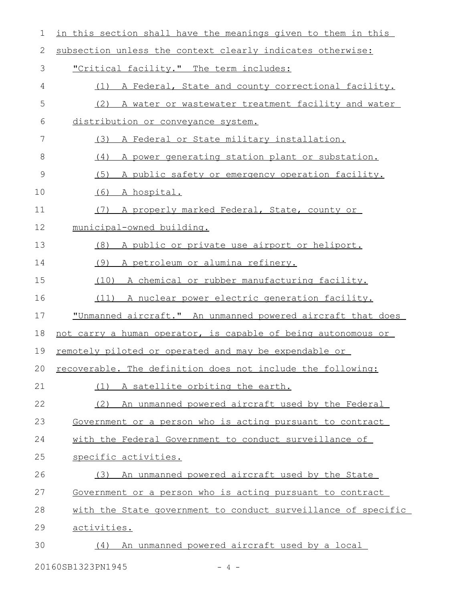| 1             | in this section shall have the meanings given to them in this |
|---------------|---------------------------------------------------------------|
| 2             | subsection unless the context clearly indicates otherwise:    |
| 3             | "Critical facility." The term includes:                       |
| 4             | A Federal, State and county correctional facility.<br>(1)     |
| 5             | (2)<br>A water or wastewater treatment facility and water     |
| 6             | distribution or conveyance system.                            |
| 7             | (3)<br>A Federal or State military installation.              |
| 8             | A power generating station plant or substation.<br>(4)        |
| $\mathcal{G}$ | A public safety or emergency operation facility.<br>(5)       |
| 10            | (6) A hospital.                                               |
| 11            | (7) A properly marked Federal, State, county or               |
| 12            | municipal-owned building.                                     |
| 13            | A public or private use airport or heliport.<br>(8)           |
| 14            | A petroleum or alumina refinery.<br>(9)                       |
| 15            | (10)<br>A chemical or rubber manufacturing facility.          |
| 16            | (11) A nuclear power electric generation facility.            |
| 17            | "Unmanned aircraft." An unmanned powered aircraft that does   |
| 18            | not carry a human operator, is capable of being autonomous or |
| 19            | remotely piloted or operated and may be expendable or         |
| 20            | recoverable. The definition does not include the following:   |
| 21            | A satellite orbiting the earth.<br>(1)                        |
| 22            | An unmanned powered aircraft used by the Federal<br>(2)       |
| 23            | Government or a person who is acting pursuant to contract     |
| 24            | with the Federal Government to conduct surveillance of        |
| 25            | specific activities.                                          |
| 26            | (3) An unmanned powered aircraft used by the State            |
| 27            | Government or a person who is acting pursuant to contract     |
| 28            | with the State government to conduct surveillance of specific |
| 29            | activities.                                                   |
| 30            | An unmanned powered aircraft used by a local<br>(4)           |
|               |                                                               |

20160SB1323PN1945 - 4 -